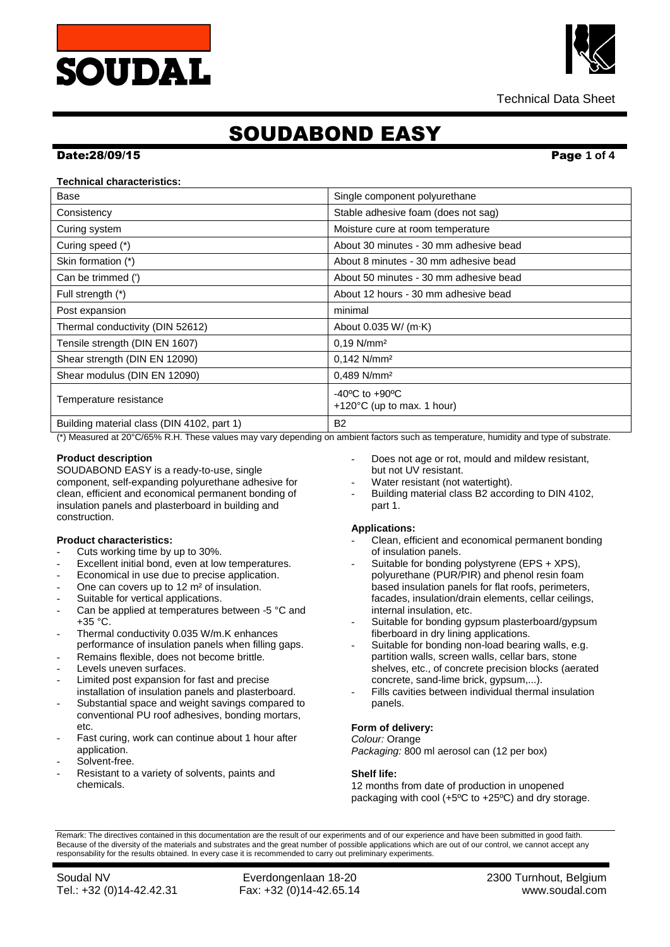



# SOUDABOND EASY

### Date:28/09/15 Page **1 of 4**

## **Technical characteristics:**

| Base                                       | Single component polyurethane                                              |
|--------------------------------------------|----------------------------------------------------------------------------|
| Consistency                                | Stable adhesive foam (does not sag)                                        |
| Curing system                              | Moisture cure at room temperature                                          |
| Curing speed (*)                           | About 30 minutes - 30 mm adhesive bead                                     |
| Skin formation (*)                         | About 8 minutes - 30 mm adhesive bead                                      |
| Can be trimmed (')                         | About 50 minutes - 30 mm adhesive bead                                     |
| Full strength (*)                          | About 12 hours - 30 mm adhesive bead                                       |
| Post expansion                             | minimal                                                                    |
| Thermal conductivity (DIN 52612)           | About $0.035$ W/ (m $\cdot$ K)                                             |
| Tensile strength (DIN EN 1607)             | $0,19$ N/mm <sup>2</sup>                                                   |
| Shear strength (DIN EN 12090)              | $0,142$ N/mm <sup>2</sup>                                                  |
| Shear modulus (DIN EN 12090)               | 0,489 N/mm <sup>2</sup>                                                    |
| Temperature resistance                     | $-40^{\circ}$ C to $+90^{\circ}$ C<br>+120 $\degree$ C (up to max. 1 hour) |
| Building material class (DIN 4102, part 1) | <b>B2</b>                                                                  |

(\*) Measured at 20°C/65% R.H. These values may vary depending on ambient factors such as temperature, humidity and type of substrate.

## **Product description**

SOUDABOND EASY is a ready-to-use, single component, self-expanding polyurethane adhesive for clean, efficient and economical permanent bonding of insulation panels and plasterboard in building and construction.

## **Product characteristics:**

- Cuts working time by up to 30%.
- Excellent initial bond, even at low temperatures.
- Economical in use due to precise application.
- One can covers up to 12 m<sup>2</sup> of insulation.
- Suitable for vertical applications.
- Can be applied at temperatures between -5 °C and +35 °C.
- Thermal conductivity 0.035 W/m.K enhances performance of insulation panels when filling gaps.
- Remains flexible, does not become brittle.
- Levels uneven surfaces.
- Limited post expansion for fast and precise installation of insulation panels and plasterboard.
- Substantial space and weight savings compared to conventional PU roof adhesives, bonding mortars, etc.
- Fast curing, work can continue about 1 hour after application.
- Solvent-free.
- Resistant to a variety of solvents, paints and chemicals.
- Does not age or rot, mould and mildew resistant, but not UV resistant.
- Water resistant (not watertight).
- Building material class B2 according to DIN 4102, part 1.

## **Applications:**

- Clean, efficient and economical permanent bonding of insulation panels.
- Suitable for bonding polystyrene (EPS + XPS), polyurethane (PUR/PIR) and phenol resin foam based insulation panels for flat roofs, perimeters, facades, insulation/drain elements, cellar ceilings, internal insulation, etc.
- Suitable for bonding gypsum plasterboard/gypsum fiberboard in dry lining applications.
- Suitable for bonding non-load bearing walls, e.g. partition walls, screen walls, cellar bars, stone shelves, etc., of concrete precision blocks (aerated concrete, sand-lime brick, gypsum,...).
- Fills cavities between individual thermal insulation panels.

## **Form of delivery:**

*Colour:* Orange *Packaging:* 800 ml aerosol can (12 per box)

# **Shelf life:**

12 months from date of production in unopened packaging with cool (+5ºC to +25ºC) and dry storage.

Remark: The directives contained in this documentation are the result of our experiments and of our experience and have been submitted in good faith. Because of the diversity of the materials and substrates and the great number of possible applications which are out of our control, we cannot accept any responsability for the results obtained. In every case it is recommended to carry out preliminary experiments.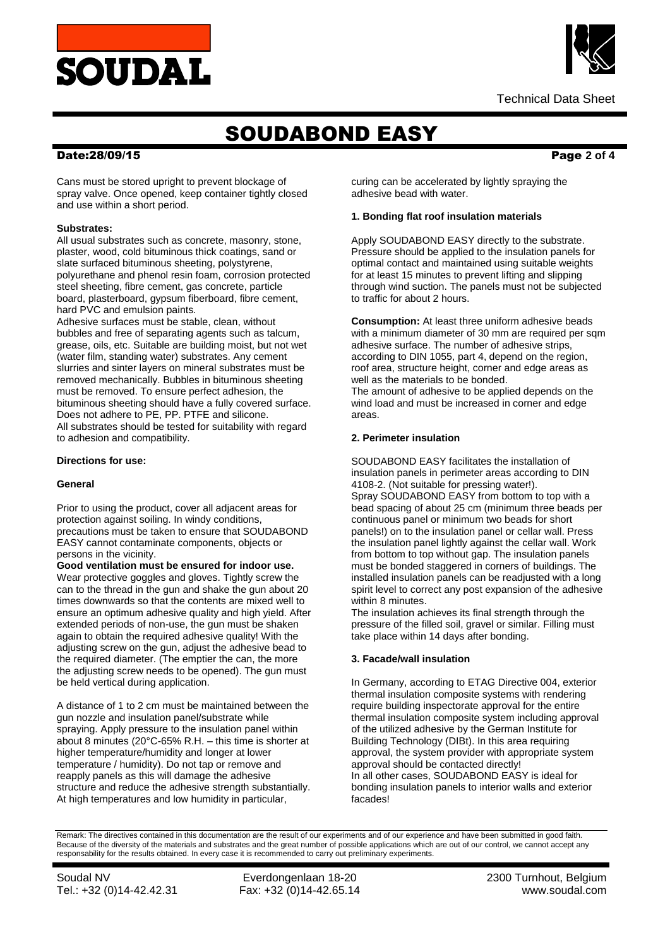



Technical Data Sheet

# SOUDABOND EASY

## Date:28/09/15 Page **2 of 4**

Cans must be stored upright to prevent blockage of spray valve. Once opened, keep container tightly closed and use within a short period.

### **Substrates:**

All usual substrates such as concrete, masonry, stone, plaster, wood, cold bituminous thick coatings, sand or slate surfaced bituminous sheeting, polystyrene, polyurethane and phenol resin foam, corrosion protected steel sheeting, fibre cement, gas concrete, particle board, plasterboard, gypsum fiberboard, fibre cement, hard PVC and emulsion paints.

Adhesive surfaces must be stable, clean, without bubbles and free of separating agents such as talcum, grease, oils, etc. Suitable are building moist, but not wet (water film, standing water) substrates. Any cement slurries and sinter layers on mineral substrates must be removed mechanically. Bubbles in bituminous sheeting must be removed. To ensure perfect adhesion, the bituminous sheeting should have a fully covered surface. Does not adhere to PE, PP. PTFE and silicone. All substrates should be tested for suitability with regard to adhesion and compatibility.

### **Directions for use:**

### **General**

Prior to using the product, cover all adjacent areas for protection against soiling. In windy conditions, precautions must be taken to ensure that SOUDABOND EASY cannot contaminate components, objects or persons in the vicinity.

**Good ventilation must be ensured for indoor use.** Wear protective goggles and gloves. Tightly screw the can to the thread in the gun and shake the gun about 20 times downwards so that the contents are mixed well to ensure an optimum adhesive quality and high yield. After extended periods of non-use, the gun must be shaken again to obtain the required adhesive quality! With the adjusting screw on the gun, adjust the adhesive bead to the required diameter. (The emptier the can, the more the adjusting screw needs to be opened). The gun must be held vertical during application.

A distance of 1 to 2 cm must be maintained between the gun nozzle and insulation panel/substrate while spraying. Apply pressure to the insulation panel within about 8 minutes (20°C-65% R.H. – this time is shorter at higher temperature/humidity and longer at lower temperature / humidity). Do not tap or remove and reapply panels as this will damage the adhesive structure and reduce the adhesive strength substantially. At high temperatures and low humidity in particular,

curing can be accelerated by lightly spraying the adhesive bead with water.

### **1. Bonding flat roof insulation materials**

Apply SOUDABOND EASY directly to the substrate. Pressure should be applied to the insulation panels for optimal contact and maintained using suitable weights for at least 15 minutes to prevent lifting and slipping through wind suction. The panels must not be subjected to traffic for about 2 hours.

**Consumption:** At least three uniform adhesive beads with a minimum diameter of 30 mm are required per sqm adhesive surface. The number of adhesive strips, according to DIN 1055, part 4, depend on the region, roof area, structure height, corner and edge areas as well as the materials to be bonded. The amount of adhesive to be applied depends on the wind load and must be increased in corner and edge areas.

### **2. Perimeter insulation**

SOUDABOND EASY facilitates the installation of insulation panels in perimeter areas according to DIN 4108-2. (Not suitable for pressing water!). Spray SOUDABOND EASY from bottom to top with a bead spacing of about 25 cm (minimum three beads per continuous panel or minimum two beads for short panels!) on to the insulation panel or cellar wall. Press the insulation panel lightly against the cellar wall. Work from bottom to top without gap. The insulation panels must be bonded staggered in corners of buildings. The installed insulation panels can be readjusted with a long spirit level to correct any post expansion of the adhesive within 8 minutes.

The insulation achieves its final strength through the pressure of the filled soil, gravel or similar. Filling must take place within 14 days after bonding.

## **3. Facade/wall insulation**

In Germany, according to ETAG Directive 004, exterior thermal insulation composite systems with rendering require building inspectorate approval for the entire thermal insulation composite system including approval of the utilized adhesive by the German Institute for Building Technology (DIBt). In this area requiring approval, the system provider with appropriate system approval should be contacted directly! In all other cases, SOUDABOND EASY is ideal for bonding insulation panels to interior walls and exterior facades!

Remark: The directives contained in this documentation are the result of our experiments and of our experience and have been submitted in good faith. Because of the diversity of the materials and substrates and the great number of possible applications which are out of our control, we cannot accept any responsability for the results obtained. In every case it is recommended to carry out preliminary experiments.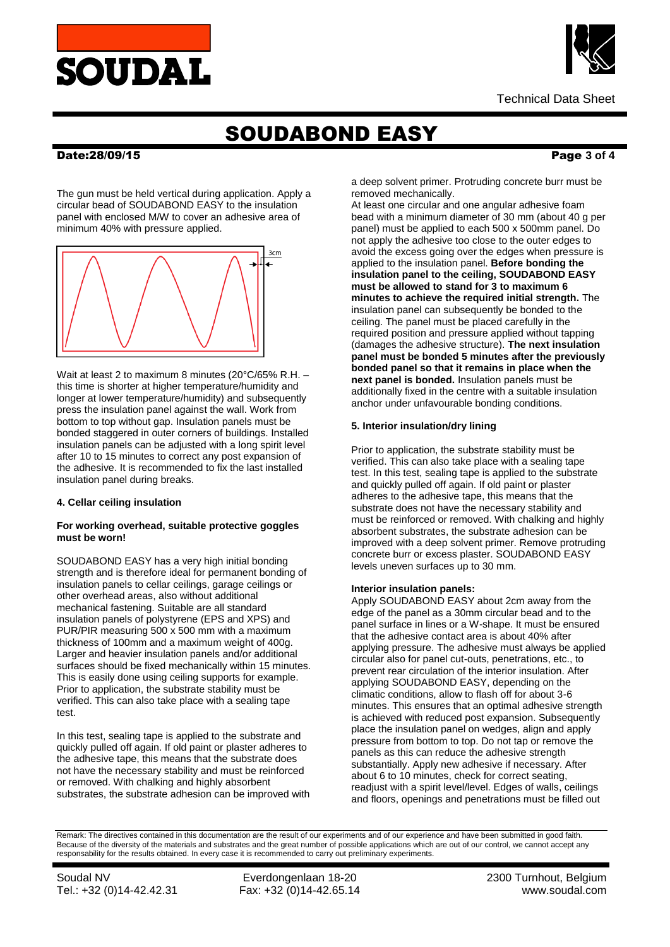



# SOUDABOND EASY

## Date:28/09/15 Page **3 of 4**

The gun must be held vertical during application. Apply a circular bead of SOUDABOND EASY to the insulation panel with enclosed M/W to cover an adhesive area of minimum 40% with pressure applied.



Wait at least 2 to maximum 8 minutes (20°C/65% R.H. – this time is shorter at higher temperature/humidity and longer at lower temperature/humidity) and subsequently press the insulation panel against the wall. Work from bottom to top without gap. Insulation panels must be bonded staggered in outer corners of buildings. Installed insulation panels can be adjusted with a long spirit level after 10 to 15 minutes to correct any post expansion of the adhesive. It is recommended to fix the last installed insulation panel during breaks.

# **4. Cellar ceiling insulation**

# **For working overhead, suitable protective goggles must be worn!**

SOUDABOND EASY has a very high initial bonding strength and is therefore ideal for permanent bonding of insulation panels to cellar ceilings, garage ceilings or other overhead areas, also without additional mechanical fastening. Suitable are all standard insulation panels of polystyrene (EPS and XPS) and PUR/PIR measuring 500 x 500 mm with a maximum thickness of 100mm and a maximum weight of 400g. Larger and heavier insulation panels and/or additional surfaces should be fixed mechanically within 15 minutes. This is easily done using ceiling supports for example. Prior to application, the substrate stability must be verified. This can also take place with a sealing tape test.

In this test, sealing tape is applied to the substrate and quickly pulled off again. If old paint or plaster adheres to the adhesive tape, this means that the substrate does not have the necessary stability and must be reinforced or removed. With chalking and highly absorbent substrates, the substrate adhesion can be improved with

a deep solvent primer. Protruding concrete burr must be removed mechanically.

At least one circular and one angular adhesive foam bead with a minimum diameter of 30 mm (about 40 g per panel) must be applied to each 500 x 500mm panel. Do not apply the adhesive too close to the outer edges to avoid the excess going over the edges when pressure is applied to the insulation panel. **Before bonding the insulation panel to the ceiling, SOUDABOND EASY must be allowed to stand for 3 to maximum 6 minutes to achieve the required initial strength.** The insulation panel can subsequently be bonded to the ceiling. The panel must be placed carefully in the required position and pressure applied without tapping (damages the adhesive structure). **The next insulation panel must be bonded 5 minutes after the previously bonded panel so that it remains in place when the next panel is bonded.** Insulation panels must be additionally fixed in the centre with a suitable insulation anchor under unfavourable bonding conditions.

## **5. Interior insulation/dry lining**

Prior to application, the substrate stability must be verified. This can also take place with a sealing tape test. In this test, sealing tape is applied to the substrate and quickly pulled off again. If old paint or plaster adheres to the adhesive tape, this means that the substrate does not have the necessary stability and must be reinforced or removed. With chalking and highly absorbent substrates, the substrate adhesion can be improved with a deep solvent primer. Remove protruding concrete burr or excess plaster. SOUDABOND EASY levels uneven surfaces up to 30 mm.

## **Interior insulation panels:**

Apply SOUDABOND EASY about 2cm away from the edge of the panel as a 30mm circular bead and to the panel surface in lines or a W-shape. It must be ensured that the adhesive contact area is about 40% after applying pressure. The adhesive must always be applied circular also for panel cut-outs, penetrations, etc., to prevent rear circulation of the interior insulation. After applying SOUDABOND EASY, depending on the climatic conditions, allow to flash off for about 3-6 minutes. This ensures that an optimal adhesive strength is achieved with reduced post expansion. Subsequently place the insulation panel on wedges, align and apply pressure from bottom to top. Do not tap or remove the panels as this can reduce the adhesive strength substantially. Apply new adhesive if necessary. After about 6 to 10 minutes, check for correct seating, readjust with a spirit level/level. Edges of walls, ceilings and floors, openings and penetrations must be filled out

Remark: The directives contained in this documentation are the result of our experiments and of our experience and have been submitted in good faith. Because of the diversity of the materials and substrates and the great number of possible applications which are out of our control, we cannot accept any responsability for the results obtained. In every case it is recommended to carry out preliminary experiments.